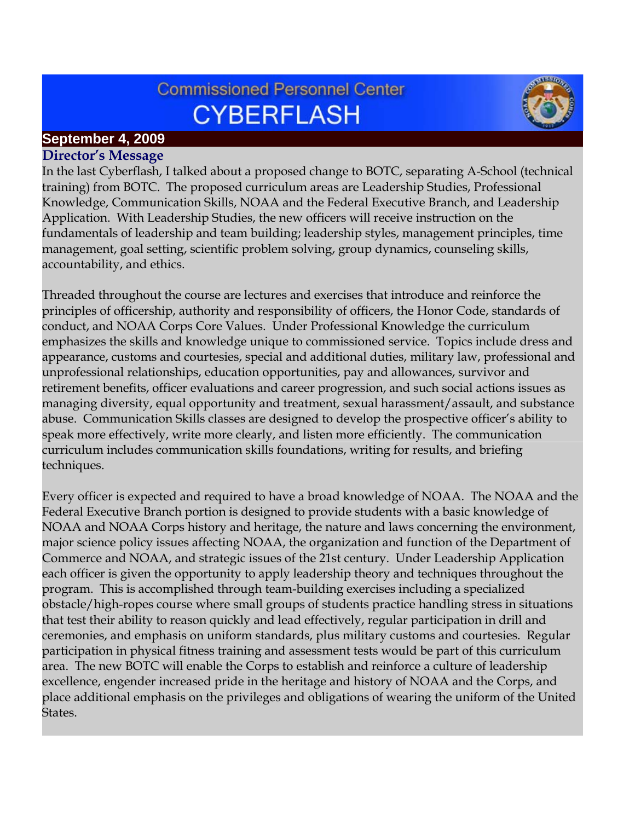# **Commissioned Personnel Center CYBERFLASH**



## **September 4, 2009**

## **Director's Message**

In the last Cyberflash, I talked about a proposed change to BOTC, separating A-School (technical training) from BOTC. The proposed curriculum areas are Leadership Studies, Professional Knowledge, Communication Skills, NOAA and the Federal Executive Branch, and Leadership Application. With Leadership Studies, the new officers will receive instruction on the fundamentals of leadership and team building; leadership styles, management principles, time management, goal setting, scientific problem solving, group dynamics, counseling skills, accountability, and ethics.

Threaded throughout the course are lectures and exercises that introduce and reinforce the principles of officership, authority and responsibility of officers, the Honor Code, standards of conduct, and NOAA Corps Core Values. Under Professional Knowledge the curriculum emphasizes the skills and knowledge unique to commissioned service. Topics include dress and appearance, customs and courtesies, special and additional duties, military law, professional and unprofessional relationships, education opportunities, pay and allowances, survivor and retirement benefits, officer evaluations and career progression, and such social actions issues as managing diversity, equal opportunity and treatment, sexual harassment/assault, and substance abuse. Communication Skills classes are designed to develop the prospective officer's ability to speak more effectively, write more clearly, and listen more efficiently. The communication curriculum includes communication skills foundations, writing for results, and briefing techniques.

Every officer is expected and required to have a broad knowledge of NOAA. The NOAA and the Federal Executive Branch portion is designed to provide students with a basic knowledge of NOAA and NOAA Corps history and heritage, the nature and laws concerning the environment, major science policy issues affecting NOAA, the organization and function of the Department of Commerce and NOAA, and strategic issues of the 21st century. Under Leadership Application each officer is given the opportunity to apply leadership theory and techniques throughout the program. This is accomplished through team-building exercises including a specialized obstacle/high-ropes course where small groups of students practice handling stress in situations that test their ability to reason quickly and lead effectively, regular participation in drill and ceremonies, and emphasis on uniform standards, plus military customs and courtesies. Regular participation in physical fitness training and assessment tests would be part of this curriculum area. The new BOTC will enable the Corps to establish and reinforce a culture of leadership excellence, engender increased pride in the heritage and history of NOAA and the Corps, and place additional emphasis on the privileges and obligations of wearing the uniform of the United States.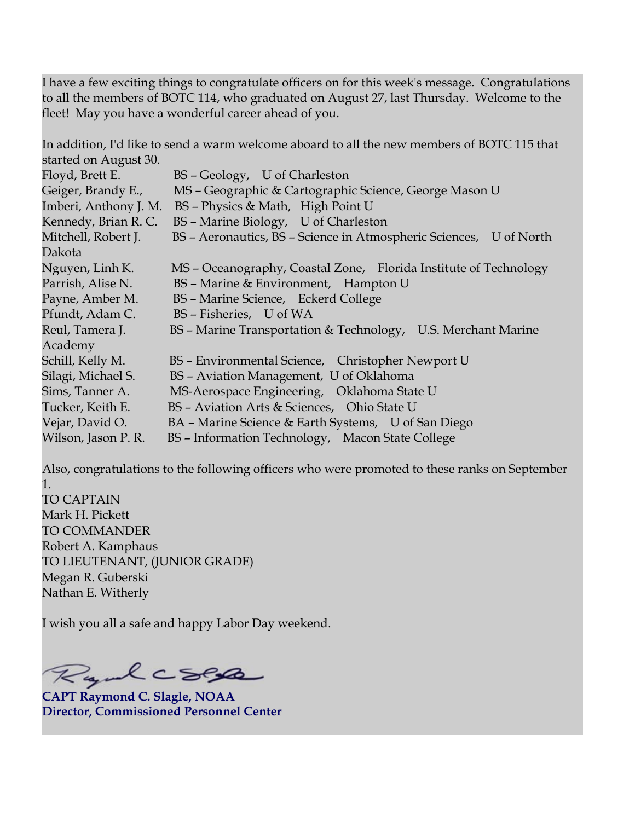I have a few exciting things to congratulate officers on for this week's message. Congratulations to all the members of BOTC 114, who graduated on August 27, last Thursday. Welcome to the fleet! May you have a wonderful career ahead of you.

In addition, I'd like to send a warm welcome aboard to all the new members of BOTC 115 that started on August 30.

| Floyd, Brett E.       | BS - Geology, U of Charleston                                      |
|-----------------------|--------------------------------------------------------------------|
| Geiger, Brandy E.,    | MS - Geographic & Cartographic Science, George Mason U             |
| Imberi, Anthony J. M. | BS - Physics & Math, High Point U                                  |
| Kennedy, Brian R. C.  | BS - Marine Biology, U of Charleston                               |
| Mitchell, Robert J.   | BS - Aeronautics, BS - Science in Atmospheric Sciences, U of North |
| Dakota                |                                                                    |
| Nguyen, Linh K.       | MS - Oceanography, Coastal Zone, Florida Institute of Technology   |
| Parrish, Alise N.     | BS - Marine & Environment, Hampton U                               |
| Payne, Amber M.       | BS - Marine Science, Eckerd College                                |
| Pfundt, Adam C.       | BS - Fisheries, U of WA                                            |
| Reul, Tamera J.       | BS - Marine Transportation & Technology, U.S. Merchant Marine      |
| Academy               |                                                                    |
| Schill, Kelly M.      | BS - Environmental Science, Christopher Newport U                  |
| Silagi, Michael S.    | BS - Aviation Management, U of Oklahoma                            |
| Sims, Tanner A.       | MS-Aerospace Engineering, Oklahoma State U                         |
| Tucker, Keith E.      | BS - Aviation Arts & Sciences, Ohio State U                        |
| Vejar, David O.       | BA – Marine Science & Earth Systems, U of San Diego                |
| Wilson, Jason P. R.   | BS - Information Technology, Macon State College                   |

Also, congratulations to the following officers who were promoted to these ranks on September 1. TO CAPTAIN Mark H. Pickett TO COMMANDER Robert A. Kamphaus TO LIEUTENANT, (JUNIOR GRADE) Megan R. Guberski

I wish you all a safe and happy Labor Day weekend.

Rydecses

Nathan E. Witherly

**CAPT Raymond C. Slagle, NOAA Director, Commissioned Personnel Center**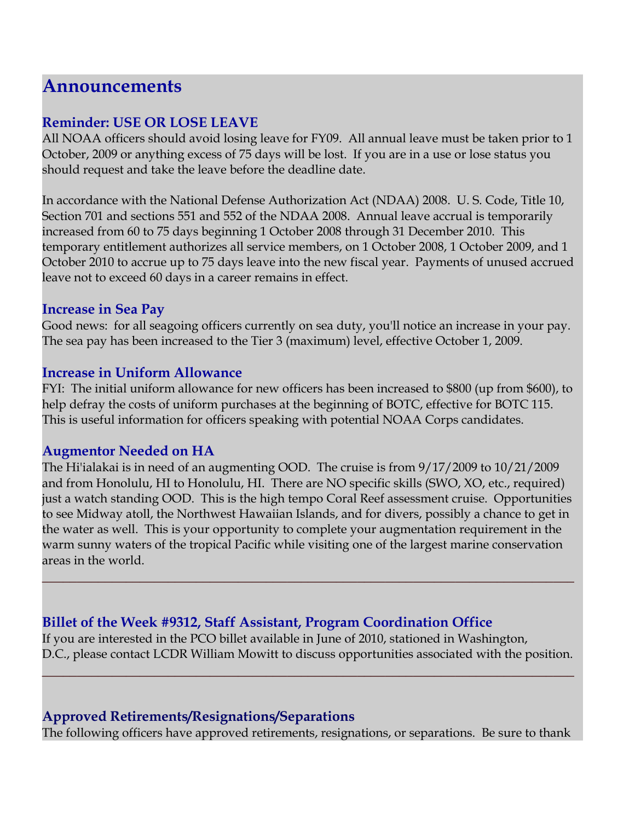### **Announcements**

#### **Reminder: USE OR LOSE LEAVE**

All NOAA officers should avoid losing leave for FY09. All annual leave must be taken prior to 1 October, 2009 or anything excess of 75 days will be lost. If you are in a use or lose status you should request and take the leave before the deadline date.

In accordance with the National Defense Authorization Act (NDAA) 2008. U. S. Code, Title 10, Section 701 and sections 551 and 552 of the NDAA 2008. Annual leave accrual is temporarily increased from 60 to 75 days beginning 1 October 2008 through 31 December 2010. This temporary entitlement authorizes all service members, on 1 October 2008, 1 October 2009, and 1 October 2010 to accrue up to 75 days leave into the new fiscal year. Payments of unused accrued leave not to exceed 60 days in a career remains in effect.

#### **Increase in Sea Pay**

Good news: for all seagoing officers currently on sea duty, you'll notice an increase in your pay. The sea pay has been increased to the Tier 3 (maximum) level, effective October 1, 2009.

#### **Increase in Uniform Allowance**

FYI: The initial uniform allowance for new officers has been increased to \$800 (up from \$600), to help defray the costs of uniform purchases at the beginning of BOTC, effective for BOTC 115. This is useful information for officers speaking with potential NOAA Corps candidates.

#### **Augmentor Needed on HA**

The Hi'ialakai is in need of an augmenting OOD. The cruise is from 9/17/2009 to 10/21/2009 and from Honolulu, HI to Honolulu, HI. There are NO specific skills (SWO, XO, etc., required) just a watch standing OOD. This is the high tempo Coral Reef assessment cruise. Opportunities to see Midway atoll, the Northwest Hawaiian Islands, and for divers, possibly a chance to get in the water as well. This is your opportunity to complete your augmentation requirement in the warm sunny waters of the tropical Pacific while visiting one of the largest marine conservation areas in the world.

**\_\_\_\_\_\_\_\_\_\_\_\_\_\_\_\_\_\_\_\_\_\_\_\_\_\_\_\_\_\_\_\_\_\_\_\_\_\_\_\_\_\_\_\_\_\_\_\_\_\_\_\_\_\_\_\_\_\_\_\_\_\_\_\_\_\_\_\_\_\_\_\_\_\_\_\_**

#### **Billet of the Week #9312, Staff Assistant, Program Coordination Office**

If you are interested in the PCO billet available in June of 2010, stationed in Washington, D.C., please contact LCDR William Mowitt to discuss opportunities associated with the position.

**\_\_\_\_\_\_\_\_\_\_\_\_\_\_\_\_\_\_\_\_\_\_\_\_\_\_\_\_\_\_\_\_\_\_\_\_\_\_\_\_\_\_\_\_\_\_\_\_\_\_\_\_\_\_\_\_\_\_\_\_\_\_\_\_\_\_\_\_\_\_\_\_\_\_\_\_**

#### **Approved Retirements/Resignations/Separations**

The following officers have approved retirements, resignations, or separations. Be sure to thank